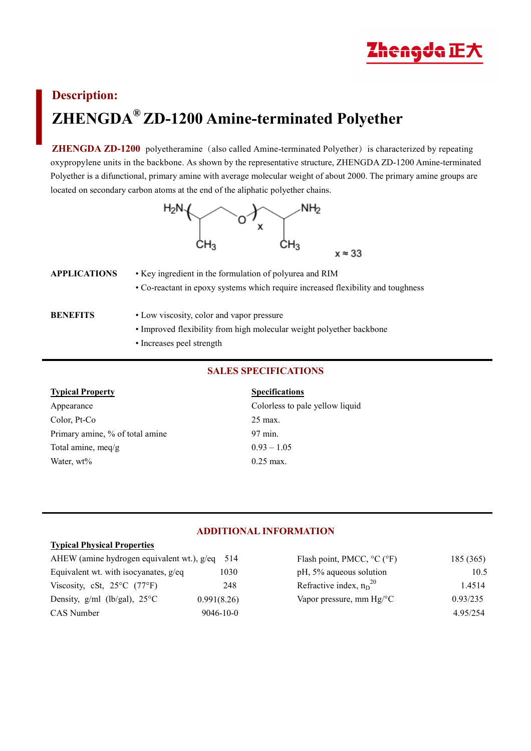

# **Description: ZHENGDA® ZD-1200 Amine-terminated Polyether**

**ZHENGDA ZD-1200** polyetheramine (also called Amine-terminated Polyether) is characterized by repeating oxypropylene units in the backbone. As shown by the representative structure, ZHENGDA ZD-1200 Amine-terminated Polyether is a difunctional, primary amine with average molecular weight of about 2000. The primary amine groups are located on secondary carbon atoms at the end of the aliphatic polyether chains.



| APPLICATIONS | • Key ingredient in the formulation of polyurea and RIM                          |  |  |
|--------------|----------------------------------------------------------------------------------|--|--|
|              | • Co-reactant in epoxy systems which require increased flexibility and toughness |  |  |
|              |                                                                                  |  |  |
| BENEFITS     | • Low viscosity, color and vapor pressure                                        |  |  |
|              |                                                                                  |  |  |

- Improved flexibility from high molecular weight polyether backbone
- Increases peel strength

# **SALES SPECIFICATIONS**

#### **Typical Property Specifications**

Appearance Colorless to pale yellow liquid Color, Pt-Co 25 max. Primary amine, % of total amine 97 min. Total amine, meq/g  $0.93 - 1.05$ Water,  $wt\%$  0.25 max.

# **ADDITIONAL INFORMATION**

### **Typical Physical Properties**

| AHEW (amine hydrogen equivalent wt.), g/eq 514 |                 | Flash point, PMCC, $^{\circ}C$ ( $^{\circ}F$ ) | 185 (365) |
|------------------------------------------------|-----------------|------------------------------------------------|-----------|
| Equivalent wt. with isocyanates, $g$ /eq.      | 1030            | pH, 5% aqueous solution                        | 10.5      |
| Viscosity, cSt, $25^{\circ}$ C (77°F)          | 248             | Refractive index, $n_D^{20}$                   | 1.4514    |
| Density, $g/ml$ (lb/gal), $25^{\circ}C$        | 0.991(8.26)     | Vapor pressure, mm $Hg$ <sup>o</sup> C         | 0.93/235  |
| CAS Number                                     | $9046 - 10 - 0$ |                                                | 4.95/254  |